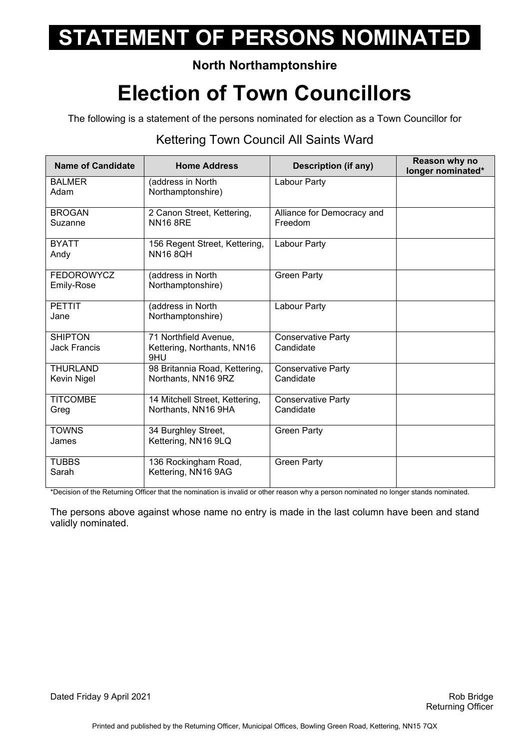### **North Northamptonshire**

## **Election of Town Councillors**

The following is a statement of the persons nominated for election as a Town Councillor for

#### Kettering Town Council All Saints Ward

| Name of Candidate                     | <b>Home Address</b>                                        | <b>Description (if any)</b>            | Reason why no<br>longer nominated* |
|---------------------------------------|------------------------------------------------------------|----------------------------------------|------------------------------------|
| <b>BALMER</b><br>Adam                 | (address in North<br>Northamptonshire)                     | Labour Party                           |                                    |
| <b>BROGAN</b><br>Suzanne              | 2 Canon Street, Kettering,<br><b>NN16 8RE</b>              | Alliance for Democracy and<br>Freedom  |                                    |
| <b>BYATT</b><br>Andy                  | 156 Regent Street, Kettering,<br><b>NN16 8OH</b>           | Labour Party                           |                                    |
| <b>FEDOROWYCZ</b><br>Emily-Rose       | (address in North<br>Northamptonshire)                     | <b>Green Party</b>                     |                                    |
| <b>PETTIT</b><br>Jane                 | (address in North<br>Northamptonshire)                     | Labour Party                           |                                    |
| <b>SHIPTON</b><br><b>Jack Francis</b> | 71 Northfield Avenue,<br>Kettering, Northants, NN16<br>9HU | <b>Conservative Party</b><br>Candidate |                                    |
| <b>THURLAND</b><br>Kevin Nigel        | 98 Britannia Road, Kettering,<br>Northants, NN16 9RZ       | <b>Conservative Party</b><br>Candidate |                                    |
| <b>TITCOMBE</b><br>Greg               | 14 Mitchell Street, Kettering,<br>Northants, NN16 9HA      | <b>Conservative Party</b><br>Candidate |                                    |
| <b>TOWNS</b><br>James                 | 34 Burghley Street,<br>Kettering, NN16 9LQ                 | <b>Green Party</b>                     |                                    |
| <b>TUBBS</b><br>Sarah                 | 136 Rockingham Road,<br>Kettering, NN16 9AG                | <b>Green Party</b>                     |                                    |

\*Decision of the Returning Officer that the nomination is invalid or other reason why a person nominated no longer stands nominated.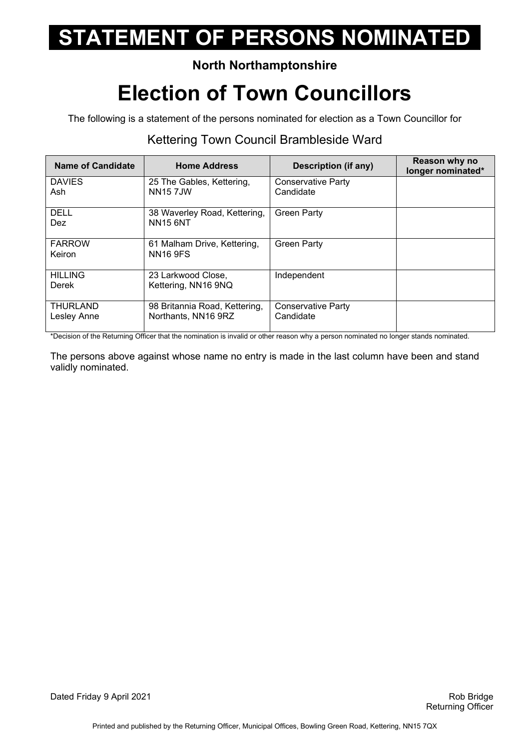### **North Northamptonshire**

## **Election of Town Councillors**

The following is a statement of the persons nominated for election as a Town Councillor for

### Kettering Town Council Brambleside Ward

| <b>Name of Candidate</b>       | <b>Home Address</b>                                  | Description (if any)                   | Reason why no<br>longer nominated* |
|--------------------------------|------------------------------------------------------|----------------------------------------|------------------------------------|
| <b>DAVIES</b><br>Ash           | 25 The Gables, Kettering,<br><b>NN157JW</b>          | Conservative Party<br>Candidate        |                                    |
| DELL<br><b>Dez</b>             | 38 Waverley Road, Kettering,<br><b>NN15 6NT</b>      | <b>Green Party</b>                     |                                    |
| <b>FARROW</b><br>Keiron        | 61 Malham Drive, Kettering,<br><b>NN16 9FS</b>       | <b>Green Party</b>                     |                                    |
| <b>HILLING</b><br>Derek        | 23 Larkwood Close,<br>Kettering, NN16 9NQ            | Independent                            |                                    |
| <b>THURLAND</b><br>Lesley Anne | 98 Britannia Road, Kettering,<br>Northants, NN16 9RZ | <b>Conservative Party</b><br>Candidate |                                    |

\*Decision of the Returning Officer that the nomination is invalid or other reason why a person nominated no longer stands nominated.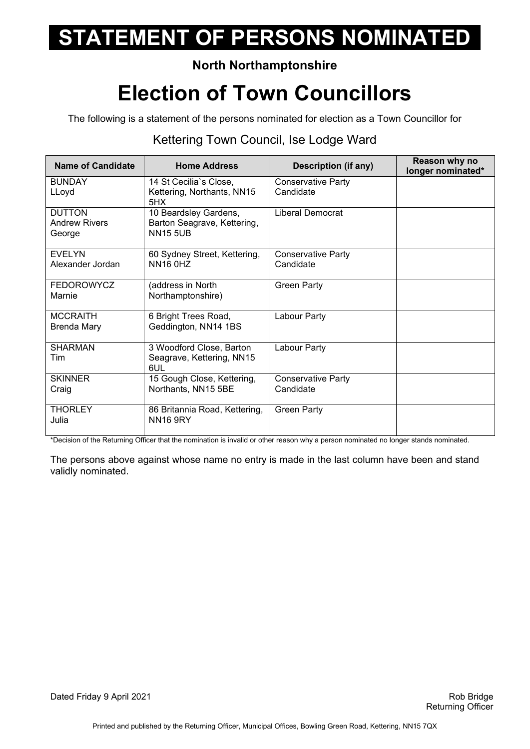#### **North Northamptonshire**

## **Election of Town Councillors**

The following is a statement of the persons nominated for election as a Town Councillor for

#### Kettering Town Council, Ise Lodge Ward

| <b>Name of Candidate</b>                        | <b>Home Address</b>                                                     | <b>Description (if any)</b>            | Reason why no<br>longer nominated* |
|-------------------------------------------------|-------------------------------------------------------------------------|----------------------------------------|------------------------------------|
| <b>BUNDAY</b>                                   | 14 St Cecilia's Close,                                                  | <b>Conservative Party</b>              |                                    |
| LLoyd                                           | Kettering, Northants, NN15<br>5HX                                       | Candidate                              |                                    |
| <b>DUTTON</b><br><b>Andrew Rivers</b><br>George | 10 Beardsley Gardens,<br>Barton Seagrave, Kettering,<br><b>NN15 5UB</b> | Liberal Democrat                       |                                    |
| <b>EVELYN</b><br>Alexander Jordan               | 60 Sydney Street, Kettering,<br><b>NN16 0HZ</b>                         | <b>Conservative Party</b><br>Candidate |                                    |
| <b>FEDOROWYCZ</b><br>Marnie                     | (address in North<br>Northamptonshire)                                  | <b>Green Party</b>                     |                                    |
| <b>MCCRAITH</b><br>Brenda Mary                  | 6 Bright Trees Road,<br>Geddington, NN14 1BS                            | Labour Party                           |                                    |
| <b>SHARMAN</b><br>Tim                           | 3 Woodford Close, Barton<br>Seagrave, Kettering, NN15<br>6UL            | Labour Party                           |                                    |
| <b>SKINNER</b>                                  | 15 Gough Close, Kettering,                                              | <b>Conservative Party</b>              |                                    |
| Craig                                           | Northants, NN15 5BE                                                     | Candidate                              |                                    |
| <b>THORLEY</b><br>Julia                         | 86 Britannia Road, Kettering,<br><b>NN16 9RY</b>                        | <b>Green Party</b>                     |                                    |

\*Decision of the Returning Officer that the nomination is invalid or other reason why a person nominated no longer stands nominated.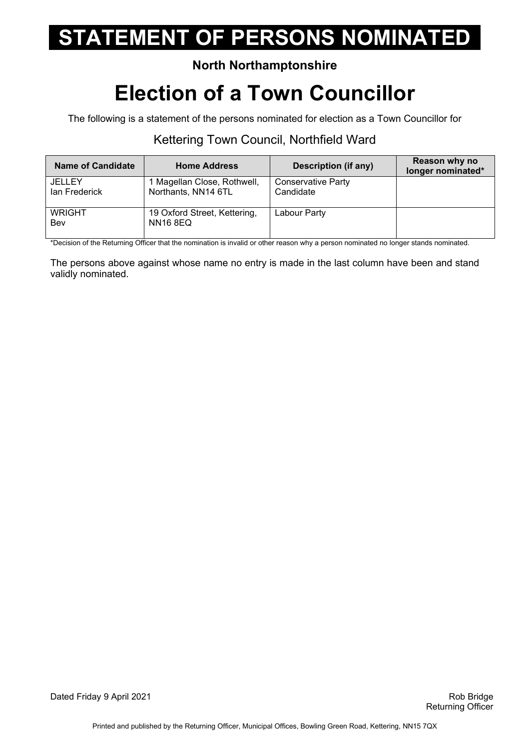### **North Northamptonshire**

## **Election of a Town Councillor**

The following is a statement of the persons nominated for election as a Town Councillor for

### Kettering Town Council, Northfield Ward

| <b>Name of Candidate</b>       | <b>Home Address</b>                                | Description (if any)                   | Reason why no<br>longer nominated* |
|--------------------------------|----------------------------------------------------|----------------------------------------|------------------------------------|
| <b>JELLEY</b><br>lan Frederick | 1 Magellan Close, Rothwell,<br>Northants, NN14 6TL | <b>Conservative Party</b><br>Candidate |                                    |
| <b>WRIGHT</b><br>Bev           | 19 Oxford Street, Kettering,<br><b>NN16 8EQ</b>    | Labour Party                           |                                    |

\*Decision of the Returning Officer that the nomination is invalid or other reason why a person nominated no longer stands nominated.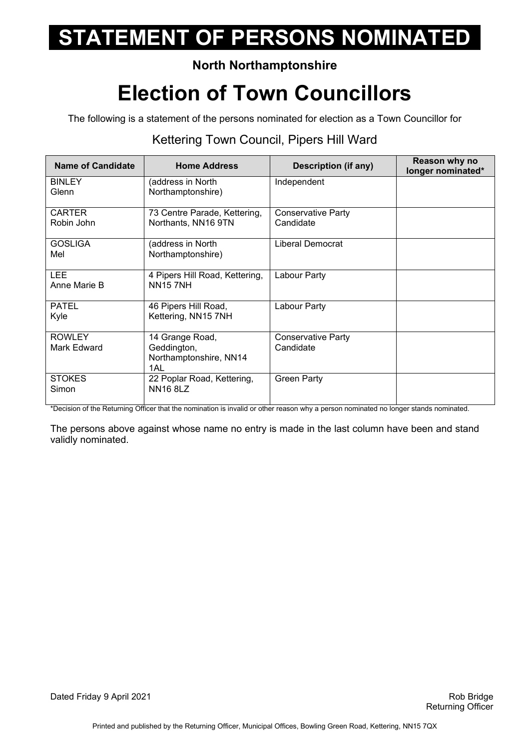### **North Northamptonshire**

## **Election of Town Councillors**

The following is a statement of the persons nominated for election as a Town Councillor for

#### Kettering Town Council, Pipers Hill Ward

| <b>Name of Candidate</b>     | <b>Home Address</b>                                             | <b>Description (if any)</b>            | Reason why no<br>longer nominated* |
|------------------------------|-----------------------------------------------------------------|----------------------------------------|------------------------------------|
| <b>BINLEY</b><br>Glenn       | (address in North<br>Northamptonshire)                          | Independent                            |                                    |
| <b>CARTER</b><br>Robin John  | 73 Centre Parade, Kettering,<br>Northants, NN16 9TN             | <b>Conservative Party</b><br>Candidate |                                    |
| <b>GOSLIGA</b><br>Mel        | (address in North<br>Northamptonshire)                          | Liberal Democrat                       |                                    |
| <b>LEE</b><br>Anne Marie B   | 4 Pipers Hill Road, Kettering,<br><b>NN157NH</b>                | Labour Party                           |                                    |
| <b>PATEL</b><br>Kyle         | 46 Pipers Hill Road,<br>Kettering, NN15 7NH                     | Labour Party                           |                                    |
| <b>ROWLEY</b><br>Mark Edward | 14 Grange Road,<br>Geddington,<br>Northamptonshire, NN14<br>1AL | <b>Conservative Party</b><br>Candidate |                                    |
| <b>STOKES</b><br>Simon       | 22 Poplar Road, Kettering,<br><b>NN16 8LZ</b>                   | <b>Green Party</b>                     |                                    |

\*Decision of the Returning Officer that the nomination is invalid or other reason why a person nominated no longer stands nominated.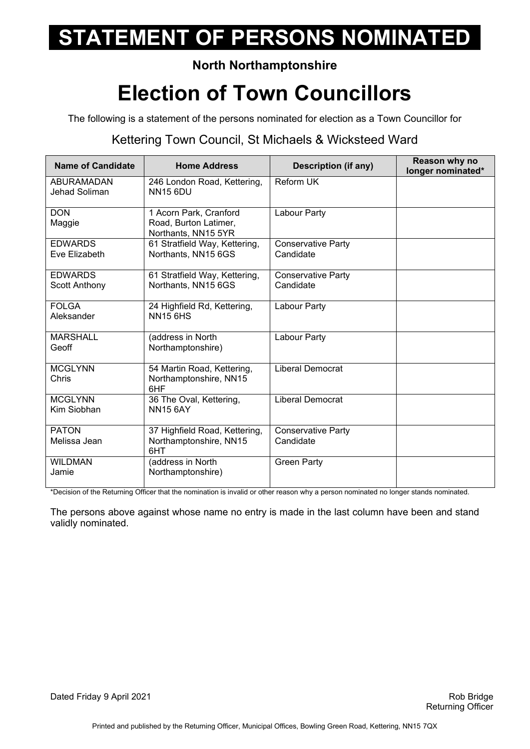#### **North Northamptonshire**

## **Election of Town Councillors**

The following is a statement of the persons nominated for election as a Town Councillor for

### Kettering Town Council, St Michaels & Wicksteed Ward

| <b>Name of Candidate</b>               | <b>Home Address</b>                                                    | <b>Description (if any)</b>            | Reason why no<br>longer nominated* |
|----------------------------------------|------------------------------------------------------------------------|----------------------------------------|------------------------------------|
| ABURAMADAN<br>Jehad Soliman            | 246 London Road, Kettering,<br><b>NN15 6DU</b>                         | <b>Reform UK</b>                       |                                    |
| <b>DON</b><br>Maggie                   | 1 Acorn Park, Cranford<br>Road, Burton Latimer,<br>Northants, NN15 5YR | Labour Party                           |                                    |
| <b>EDWARDS</b><br>Eve Elizabeth        | 61 Stratfield Way, Kettering,<br>Northants, NN15 6GS                   | <b>Conservative Party</b><br>Candidate |                                    |
| <b>EDWARDS</b><br><b>Scott Anthony</b> | 61 Stratfield Way, Kettering,<br>Northants, NN15 6GS                   | <b>Conservative Party</b><br>Candidate |                                    |
| <b>FOLGA</b><br>Aleksander             | 24 Highfield Rd, Kettering,<br><b>NN15 6HS</b>                         | Labour Party                           |                                    |
| <b>MARSHALL</b><br>Geoff               | (address in North<br>Northamptonshire)                                 | Labour Party                           |                                    |
| <b>MCGLYNN</b><br>Chris                | 54 Martin Road, Kettering,<br>Northamptonshire, NN15<br>6HF            | <b>Liberal Democrat</b>                |                                    |
| <b>MCGLYNN</b><br>Kim Siobhan          | 36 The Oval, Kettering,<br><b>NN15 6AY</b>                             | <b>Liberal Democrat</b>                |                                    |
| <b>PATON</b><br>Melissa Jean           | 37 Highfield Road, Kettering,<br>Northamptonshire, NN15<br>6HT         | <b>Conservative Party</b><br>Candidate |                                    |
| <b>WILDMAN</b><br>Jamie                | (address in North<br>Northamptonshire)                                 | <b>Green Party</b>                     |                                    |

\*Decision of the Returning Officer that the nomination is invalid or other reason why a person nominated no longer stands nominated.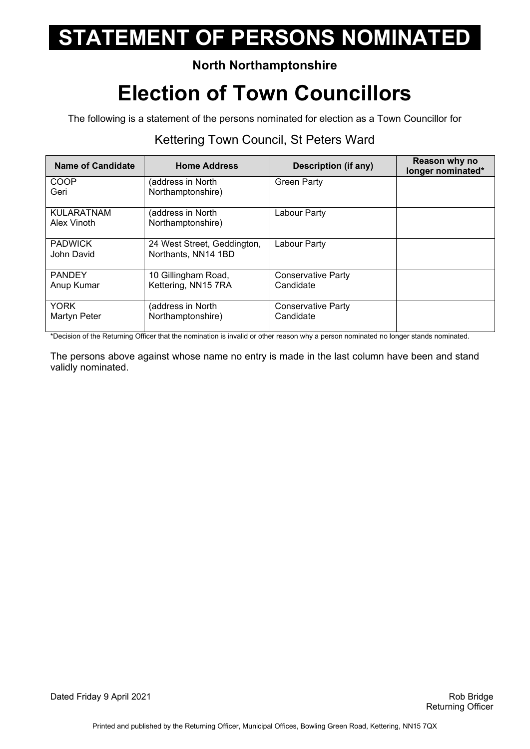### **North Northamptonshire**

## **Election of Town Councillors**

The following is a statement of the persons nominated for election as a Town Councillor for

#### Kettering Town Council, St Peters Ward

| <b>Name of Candidate</b>         | <b>Home Address</b>                                | <b>Description (if any)</b>     | Reason why no<br>longer nominated* |
|----------------------------------|----------------------------------------------------|---------------------------------|------------------------------------|
| <b>COOP</b><br>Geri              | (address in North<br>Northamptonshire)             | <b>Green Party</b>              |                                    |
| <b>KULARATNAM</b><br>Alex Vinoth | (address in North<br>Northamptonshire)             | Labour Party                    |                                    |
| <b>PADWICK</b><br>John David     | 24 West Street, Geddington,<br>Northants, NN14 1BD | Labour Party                    |                                    |
| <b>PANDEY</b><br>Anup Kumar      | 10 Gillingham Road,<br>Kettering, NN15 7RA         | Conservative Party<br>Candidate |                                    |
| <b>YORK</b><br>Martyn Peter      | (address in North<br>Northamptonshire)             | Conservative Party<br>Candidate |                                    |

\*Decision of the Returning Officer that the nomination is invalid or other reason why a person nominated no longer stands nominated.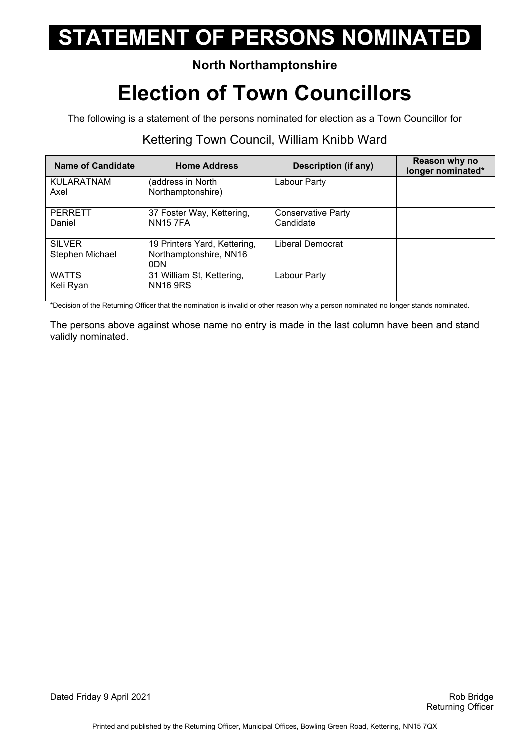### **North Northamptonshire**

## **Election of Town Councillors**

The following is a statement of the persons nominated for election as a Town Councillor for

### Kettering Town Council, William Knibb Ward

| Name of Candidate                | <b>Home Address</b>                                                       | <b>Description (if any)</b>     | Reason why no<br>longer nominated* |
|----------------------------------|---------------------------------------------------------------------------|---------------------------------|------------------------------------|
| <b>KULARATNAM</b><br>Axel        | (address in North<br>Northamptonshire)                                    | Labour Party                    |                                    |
| <b>PERRETT</b><br>Daniel         | 37 Foster Way, Kettering,<br><b>NN157FA</b>                               | Conservative Party<br>Candidate |                                    |
| <b>SILVER</b><br>Stephen Michael | 19 Printers Yard, Kettering,<br>Northamptonshire, NN16<br>0 <sub>DN</sub> | Liberal Democrat                |                                    |
| <b>WATTS</b><br>Keli Ryan        | 31 William St, Kettering,<br><b>NN16 9RS</b>                              | Labour Party                    |                                    |

\*Decision of the Returning Officer that the nomination is invalid or other reason why a person nominated no longer stands nominated.

The persons above against whose name no entry is made in the last column have been and stand validly nominated.

Dated Friday 9 April 2021 **Rob Bridge** Bridge **Rob Bridge** Bridge Bridge Bridge Bridge Bridge Bridge Bridge Bridge Bridge Bridge Bridge Bridge Bridge Bridge Bridge Bridge Bridge Bridge Bridge Bridge Bridge Bridge Bridge Br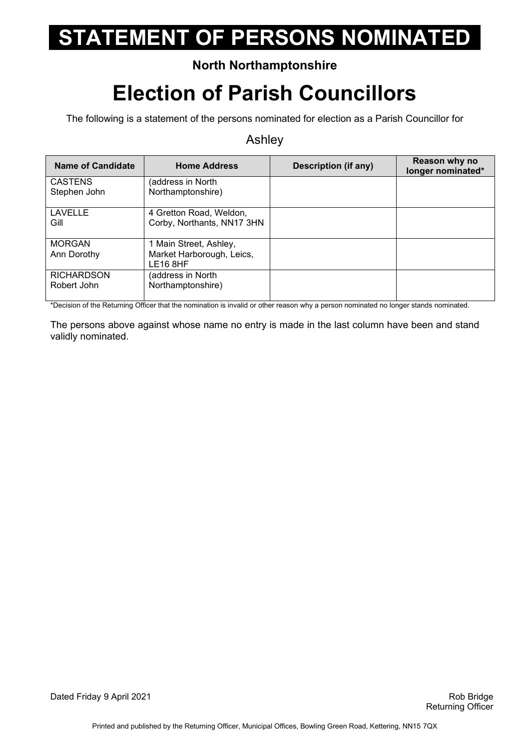### **North Northamptonshire**

## **Election of Parish Councillors**

The following is a statement of the persons nominated for election as a Parish Councillor for

#### Ashley

| Name of Candidate                | <b>Home Address</b>                                                         | Description (if any) | Reason why no<br>longer nominated* |
|----------------------------------|-----------------------------------------------------------------------------|----------------------|------------------------------------|
| <b>CASTENS</b><br>Stephen John   | (address in North<br>Northamptonshire)                                      |                      |                                    |
| <b>LAVELLE</b><br>Gill           | 4 Gretton Road, Weldon,<br>Corby, Northants, NN17 3HN                       |                      |                                    |
| <b>MORGAN</b><br>Ann Dorothy     | 1 Main Street, Ashley,<br>Market Harborough, Leics,<br>LE <sub>16</sub> 8HF |                      |                                    |
| <b>RICHARDSON</b><br>Robert John | (address in North<br>Northamptonshire)                                      |                      |                                    |

\*Decision of the Returning Officer that the nomination is invalid or other reason why a person nominated no longer stands nominated.

The persons above against whose name no entry is made in the last column have been and stand validly nominated.

Dated Friday 9 April 2021 **Rob Bridge Rob Bridge** Rob Bridge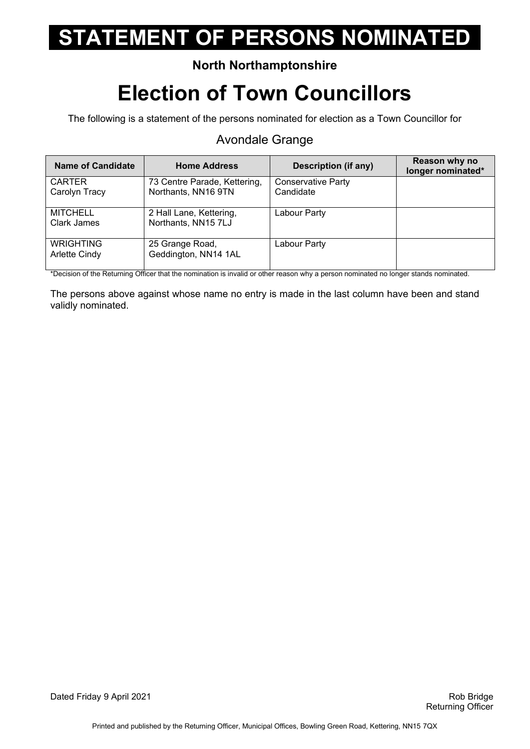#### **North Northamptonshire**

## **Election of Town Councillors**

The following is a statement of the persons nominated for election as a Town Councillor for

#### Avondale Grange

| <b>Name of Candidate</b>          | <b>Home Address</b>                                 | Description (if any)                   | Reason why no<br>longer nominated* |
|-----------------------------------|-----------------------------------------------------|----------------------------------------|------------------------------------|
| <b>CARTER</b><br>Carolyn Tracy    | 73 Centre Parade, Kettering,<br>Northants, NN16 9TN | <b>Conservative Party</b><br>Candidate |                                    |
| <b>MITCHELL</b><br>Clark James    | 2 Hall Lane, Kettering,<br>Northants, NN15 7LJ      | Labour Party                           |                                    |
| <b>WRIGHTING</b><br>Arlette Cindy | 25 Grange Road,<br>Geddington, NN14 1AL             | Labour Party                           |                                    |

\*Decision of the Returning Officer that the nomination is invalid or other reason why a person nominated no longer stands nominated.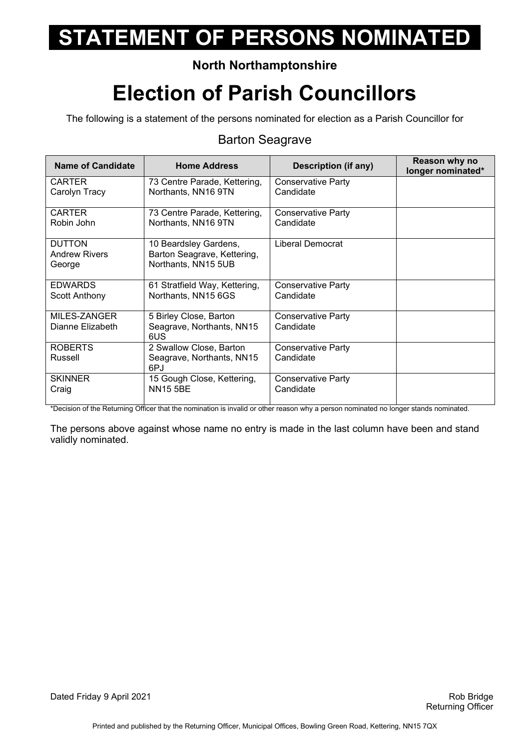### **North Northamptonshire**

## **Election of Parish Councillors**

The following is a statement of the persons nominated for election as a Parish Councillor for

#### Barton Seagrave

| <b>Name of Candidate</b> | <b>Home Address</b>              | Description (if any)      | Reason why no<br>longer nominated* |
|--------------------------|----------------------------------|---------------------------|------------------------------------|
| <b>CARTER</b>            | 73 Centre Parade, Kettering,     | Conservative Party        |                                    |
| Carolyn Tracy            | Northants, NN16 9TN              | Candidate                 |                                    |
| <b>CARTER</b>            | 73 Centre Parade, Kettering,     | <b>Conservative Party</b> |                                    |
| Robin John               | Northants, NN16 9TN              | Candidate                 |                                    |
| <b>DUTTON</b>            | 10 Beardsley Gardens,            | Liberal Democrat          |                                    |
| <b>Andrew Rivers</b>     | Barton Seagrave, Kettering,      |                           |                                    |
| George                   | Northants, NN15 5UB              |                           |                                    |
| <b>EDWARDS</b>           | 61 Stratfield Way, Kettering,    | <b>Conservative Party</b> |                                    |
| Scott Anthony            | Northants, NN15 6GS              | Candidate                 |                                    |
| MILES-ZANGER             | 5 Birley Close, Barton           | <b>Conservative Party</b> |                                    |
| Dianne Elizabeth         | Seagrave, Northants, NN15<br>6US | Candidate                 |                                    |
| <b>ROBERTS</b>           | 2 Swallow Close, Barton          | <b>Conservative Party</b> |                                    |
| Russell                  | Seagrave, Northants, NN15<br>6PJ | Candidate                 |                                    |
| <b>SKINNER</b>           | 15 Gough Close, Kettering,       | <b>Conservative Party</b> |                                    |
| Craig                    | <b>NN15 5BE</b>                  | Candidate                 |                                    |

\*Decision of the Returning Officer that the nomination is invalid or other reason why a person nominated no longer stands nominated.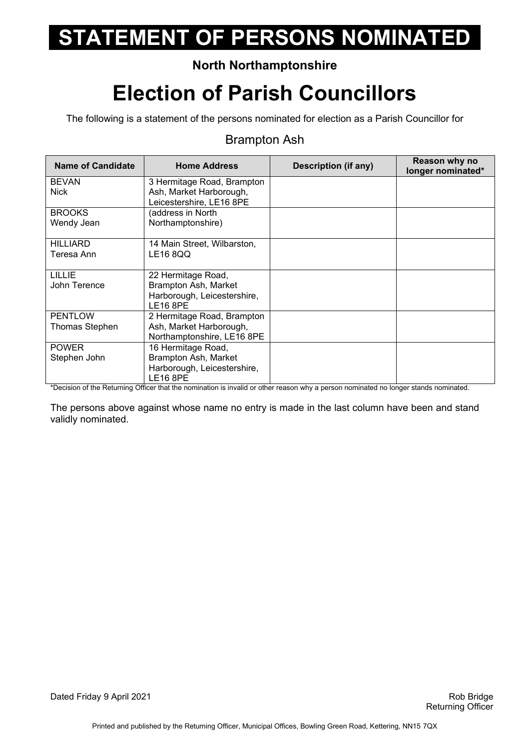### **North Northamptonshire**

## **Election of Parish Councillors**

The following is a statement of the persons nominated for election as a Parish Councillor for

#### Brampton Ash

| <b>Name of Candidate</b> | <b>Home Address</b>         | Description (if any) | Reason why no<br>longer nominated* |
|--------------------------|-----------------------------|----------------------|------------------------------------|
| <b>BEVAN</b>             | 3 Hermitage Road, Brampton  |                      |                                    |
| <b>Nick</b>              | Ash, Market Harborough,     |                      |                                    |
|                          | Leicestershire, LE16 8PE    |                      |                                    |
| <b>BROOKS</b>            | (address in North           |                      |                                    |
| Wendy Jean               | Northamptonshire)           |                      |                                    |
|                          |                             |                      |                                    |
| <b>HILLIARD</b>          | 14 Main Street, Wilbarston, |                      |                                    |
| Teresa Ann               | LE16 8QQ                    |                      |                                    |
| <b>LILLIE</b>            | 22 Hermitage Road,          |                      |                                    |
| John Terence             | Brampton Ash, Market        |                      |                                    |
|                          | Harborough, Leicestershire, |                      |                                    |
|                          | <b>LE16 8PE</b>             |                      |                                    |
| <b>PENTLOW</b>           | 2 Hermitage Road, Brampton  |                      |                                    |
| Thomas Stephen           | Ash, Market Harborough,     |                      |                                    |
|                          | Northamptonshire, LE16 8PE  |                      |                                    |
| <b>POWER</b>             | 16 Hermitage Road,          |                      |                                    |
| Stephen John             | Brampton Ash, Market        |                      |                                    |
|                          | Harborough, Leicestershire, |                      |                                    |
|                          | <b>LE16 8PE</b>             |                      |                                    |

\*Decision of the Returning Officer that the nomination is invalid or other reason why a person nominated no longer stands nominated.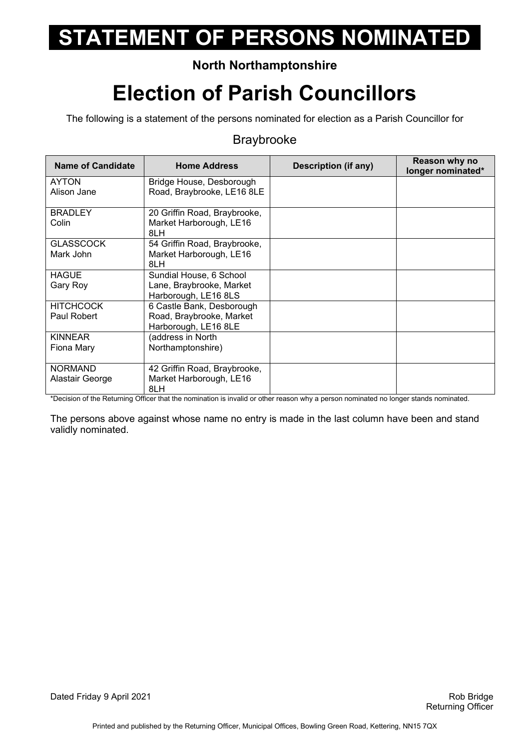### **North Northamptonshire**

## **Election of Parish Councillors**

The following is a statement of the persons nominated for election as a Parish Councillor for

#### Braybrooke

| <b>Name of Candidate</b>          | <b>Home Address</b>                                                           | Description (if any) | Reason why no<br>longer nominated* |
|-----------------------------------|-------------------------------------------------------------------------------|----------------------|------------------------------------|
| <b>AYTON</b><br>Alison Jane       | Bridge House, Desborough<br>Road, Braybrooke, LE16 8LE                        |                      |                                    |
| <b>BRADLEY</b><br>Colin           | 20 Griffin Road, Braybrooke,<br>Market Harborough, LE16<br>8LH                |                      |                                    |
| <b>GLASSCOCK</b><br>Mark John     | 54 Griffin Road, Braybrooke,<br>Market Harborough, LE16<br>8LH                |                      |                                    |
| <b>HAGUE</b><br>Gary Roy          | Sundial House, 6 School<br>Lane, Braybrooke, Market<br>Harborough, LE16 8LS   |                      |                                    |
| <b>HITCHCOCK</b><br>Paul Robert   | 6 Castle Bank, Desborough<br>Road, Braybrooke, Market<br>Harborough, LE16 8LE |                      |                                    |
| <b>KINNEAR</b><br>Fiona Mary      | (address in North<br>Northamptonshire)                                        |                      |                                    |
| <b>NORMAND</b><br>Alastair George | 42 Griffin Road, Braybrooke,<br>Market Harborough, LE16<br>8LH                |                      |                                    |

\*Decision of the Returning Officer that the nomination is invalid or other reason why a person nominated no longer stands nominated.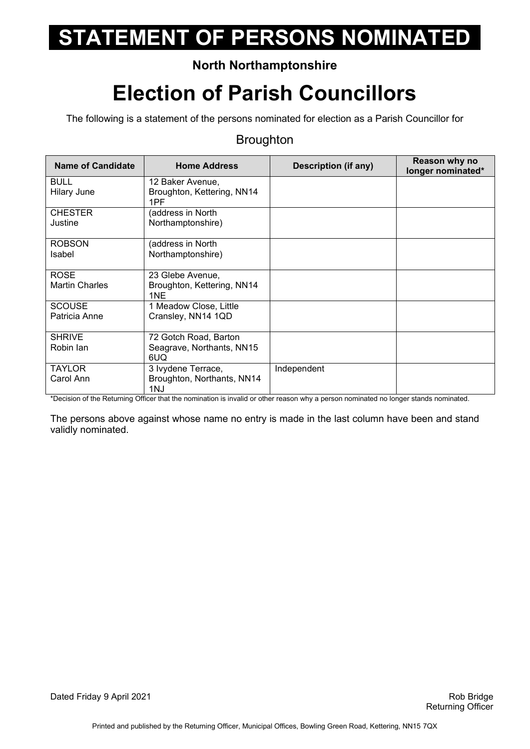### **North Northamptonshire**

## **Election of Parish Councillors**

The following is a statement of the persons nominated for election as a Parish Councillor for

#### **Broughton**

| <b>Name of Candidate</b>             | <b>Home Address</b>                                       | Description (if any) | Reason why no<br>longer nominated* |
|--------------------------------------|-----------------------------------------------------------|----------------------|------------------------------------|
| <b>BULL</b><br><b>Hilary June</b>    | 12 Baker Avenue,<br>Broughton, Kettering, NN14<br>1PF     |                      |                                    |
| <b>CHESTER</b><br>Justine            | (address in North<br>Northamptonshire)                    |                      |                                    |
| <b>ROBSON</b><br>Isabel              | (address in North<br>Northamptonshire)                    |                      |                                    |
| <b>ROSE</b><br><b>Martin Charles</b> | 23 Glebe Avenue,<br>Broughton, Kettering, NN14<br>1NE     |                      |                                    |
| <b>SCOUSE</b><br>Patricia Anne       | 1 Meadow Close, Little<br>Cransley, NN14 1QD              |                      |                                    |
| <b>SHRIVE</b><br>Robin lan           | 72 Gotch Road, Barton<br>Seagrave, Northants, NN15<br>6UQ |                      |                                    |
| <b>TAYLOR</b><br>Carol Ann           | 3 lvydene Terrace,<br>Broughton, Northants, NN14<br>1NJ   | Independent          |                                    |

\*Decision of the Returning Officer that the nomination is invalid or other reason why a person nominated no longer stands nominated.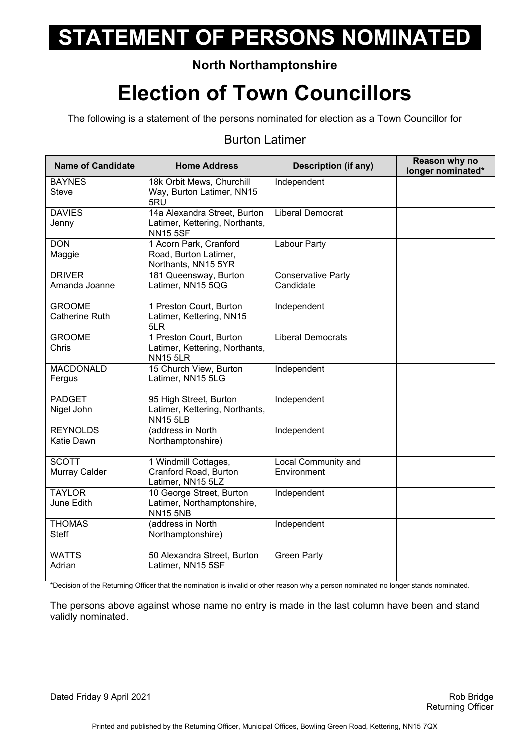### **North Northamptonshire**

## **Election of Town Councillors**

The following is a statement of the persons nominated for election as a Town Councillor for

#### Burton Latimer

| <b>Name of Candidate</b>               | <b>Home Address</b>                                                               | <b>Description (if any)</b>            | Reason why no<br>longer nominated* |
|----------------------------------------|-----------------------------------------------------------------------------------|----------------------------------------|------------------------------------|
| <b>BAYNES</b><br><b>Steve</b>          | 18k Orbit Mews, Churchill<br>Way, Burton Latimer, NN15<br>5RU                     | Independent                            |                                    |
| <b>DAVIES</b><br>Jenny                 | 14a Alexandra Street, Burton<br>Latimer, Kettering, Northants,<br><b>NN15 5SF</b> | <b>Liberal Democrat</b>                |                                    |
| <b>DON</b><br>Maggie                   | 1 Acorn Park, Cranford<br>Road, Burton Latimer,<br>Northants, NN15 5YR            | Labour Party                           |                                    |
| <b>DRIVER</b><br>Amanda Joanne         | 181 Queensway, Burton<br>Latimer, NN15 5QG                                        | <b>Conservative Party</b><br>Candidate |                                    |
| <b>GROOME</b><br><b>Catherine Ruth</b> | 1 Preston Court, Burton<br>Latimer, Kettering, NN15<br>5LR                        | Independent                            |                                    |
| <b>GROOME</b><br>Chris                 | 1 Preston Court, Burton<br>Latimer, Kettering, Northants,<br><b>NN15 5LR</b>      | <b>Liberal Democrats</b>               |                                    |
| <b>MACDONALD</b><br>Fergus             | 15 Church View, Burton<br>Latimer, NN15 5LG                                       | Independent                            |                                    |
| <b>PADGET</b><br>Nigel John            | 95 High Street, Burton<br>Latimer, Kettering, Northants,<br><b>NN15 5LB</b>       | Independent                            |                                    |
| <b>REYNOLDS</b><br>Katie Dawn          | (address in North<br>Northamptonshire)                                            | Independent                            |                                    |
| <b>SCOTT</b><br>Murray Calder          | 1 Windmill Cottages,<br>Cranford Road, Burton<br>Latimer, NN15 5LZ                | Local Community and<br>Environment     |                                    |
| <b>TAYLOR</b><br>June Edith            | 10 George Street, Burton<br>Latimer, Northamptonshire,<br><b>NN15 5NB</b>         | Independent                            |                                    |
| <b>THOMAS</b><br><b>Steff</b>          | (address in North<br>Northamptonshire)                                            | Independent                            |                                    |
| <b>WATTS</b><br>Adrian                 | 50 Alexandra Street, Burton<br>Latimer, NN15 5SF                                  | <b>Green Party</b>                     |                                    |

\*Decision of the Returning Officer that the nomination is invalid or other reason why a person nominated no longer stands nominated.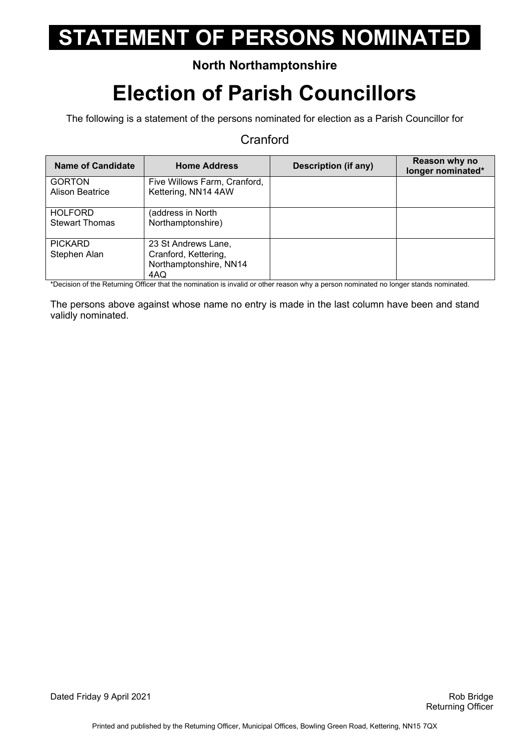### **North Northamptonshire**

## **Election of Parish Councillors**

The following is a statement of the persons nominated for election as a Parish Councillor for

#### **Cranford**

| Name of Candidate                       | <b>Home Address</b>                                                          | Description (if any) | Reason why no<br>longer nominated* |
|-----------------------------------------|------------------------------------------------------------------------------|----------------------|------------------------------------|
| <b>GORTON</b><br><b>Alison Beatrice</b> | Five Willows Farm, Cranford,<br>Kettering, NN14 4AW                          |                      |                                    |
| <b>HOLFORD</b><br><b>Stewart Thomas</b> | (address in North<br>Northamptonshire)                                       |                      |                                    |
| <b>PICKARD</b><br>Stephen Alan          | 23 St Andrews Lane,<br>Cranford, Kettering,<br>Northamptonshire, NN14<br>4AQ |                      |                                    |

\*Decision of the Returning Officer that the nomination is invalid or other reason why a person nominated no longer stands nominated.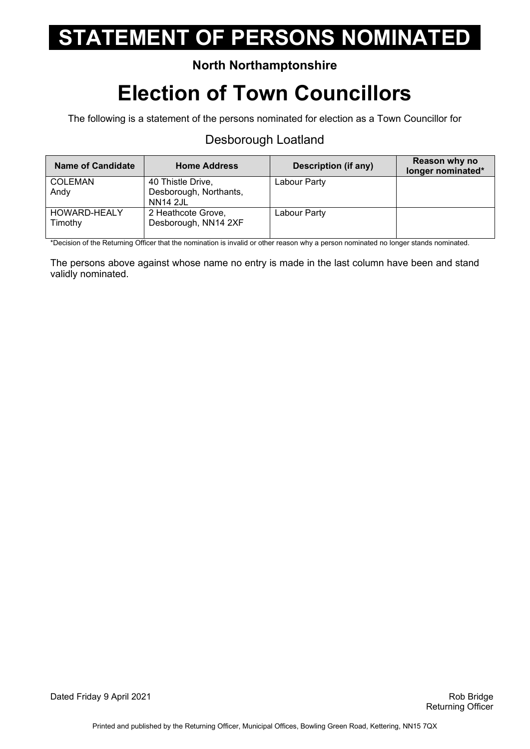### **North Northamptonshire**

## **Election of Town Councillors**

The following is a statement of the persons nominated for election as a Town Councillor for

#### Desborough Loatland

| <b>Name of Candidate</b> | <b>Home Address</b>                        | Description (if any) | Reason why no<br>longer nominated* |
|--------------------------|--------------------------------------------|----------------------|------------------------------------|
| <b>COLEMAN</b>           | 40 Thistle Drive,                          | Labour Party         |                                    |
| Andy                     | Desborough, Northants,<br><b>NN14 2JL</b>  |                      |                                    |
| HOWARD-HEALY<br>Timothy  | 2 Heathcote Grove,<br>Desborough, NN14 2XF | Labour Party         |                                    |

\*Decision of the Returning Officer that the nomination is invalid or other reason why a person nominated no longer stands nominated.

The persons above against whose name no entry is made in the last column have been and stand validly nominated.

Dated Friday 9 April 2021 **Rob Bridge 19 April 2021** Rob Bridge 19th Rob Bridge 19th Rob Bridge 19th Rob Bridge 1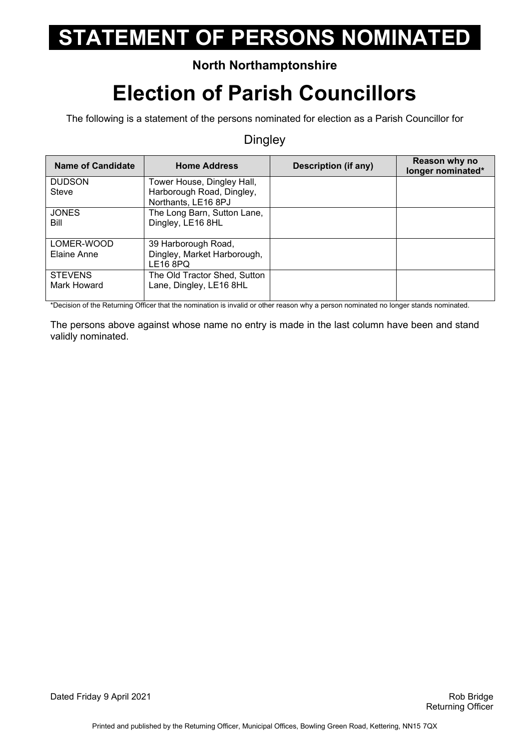### **North Northamptonshire**

## **Election of Parish Councillors**

The following is a statement of the persons nominated for election as a Parish Councillor for

#### **Dingley**

| <b>Name of Candidate</b>      | <b>Home Address</b>                                                        | Description (if any) | Reason why no<br>longer nominated* |
|-------------------------------|----------------------------------------------------------------------------|----------------------|------------------------------------|
| <b>DUDSON</b>                 | Tower House, Dingley Hall,                                                 |                      |                                    |
| Steve                         | Harborough Road, Dingley,<br>Northants, LE16 8PJ                           |                      |                                    |
| <b>JONES</b><br>Bill          | The Long Barn, Sutton Lane,<br>Dingley, LE16 8HL                           |                      |                                    |
| LOMER-WOOD<br>Elaine Anne     | 39 Harborough Road,<br>Dingley, Market Harborough,<br>LE <sub>16</sub> 8PQ |                      |                                    |
| <b>STEVENS</b><br>Mark Howard | The Old Tractor Shed, Sutton<br>Lane, Dingley, LE16 8HL                    |                      |                                    |

\*Decision of the Returning Officer that the nomination is invalid or other reason why a person nominated no longer stands nominated.

The persons above against whose name no entry is made in the last column have been and stand validly nominated.

Dated Friday 9 April 2021 **Rob Bridge 19 April 2021** Rob Bridge 19th Rob Bridge 19th Rob Bridge 19th Rob Bridge 1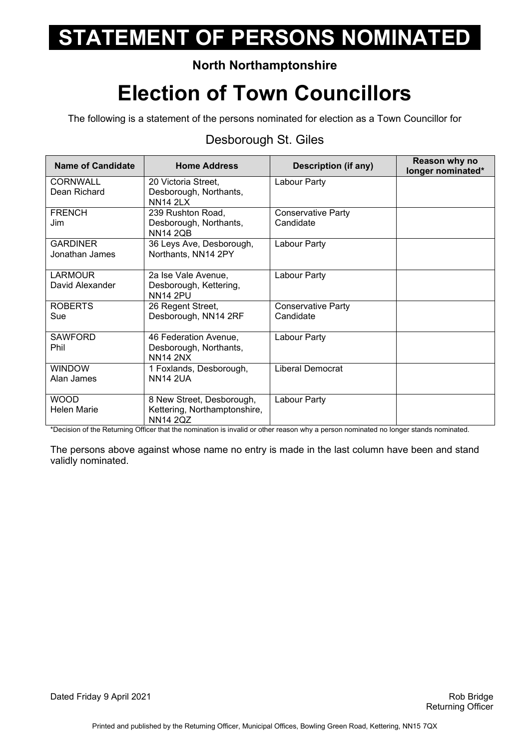### **North Northamptonshire**

## **Election of Town Councillors**

The following is a statement of the persons nominated for election as a Town Councillor for

#### Desborough St. Giles

| <b>Name of Candidate</b> | <b>Home Address</b>                             | <b>Description (if any)</b>            | Reason why no<br>longer nominated* |
|--------------------------|-------------------------------------------------|----------------------------------------|------------------------------------|
| <b>CORNWALL</b>          | 20 Victoria Street,                             | Labour Party                           |                                    |
| Dean Richard             | Desborough, Northants,<br><b>NN14 2LX</b>       |                                        |                                    |
| <b>FRENCH</b><br>Jim     | 239 Rushton Road,<br>Desborough, Northants,     | <b>Conservative Party</b><br>Candidate |                                    |
|                          | <b>NN14 2QB</b>                                 |                                        |                                    |
| <b>GARDINER</b>          | 36 Leys Ave, Desborough,                        | Labour Party                           |                                    |
| Jonathan James           | Northants, NN14 2PY                             |                                        |                                    |
| <b>LARMOUR</b>           | 2a Ise Vale Avenue,                             | Labour Party                           |                                    |
| David Alexander          | Desborough, Kettering,<br><b>NN14 2PU</b>       |                                        |                                    |
| <b>ROBERTS</b>           | 26 Regent Street,                               | <b>Conservative Party</b>              |                                    |
| Sue                      | Desborough, NN14 2RF                            | Candidate                              |                                    |
| <b>SAWFORD</b><br>Phil   | 46 Federation Avenue,<br>Desborough, Northants, | Labour Party                           |                                    |
|                          | <b>NN14 2NX</b>                                 |                                        |                                    |
| <b>WINDOW</b>            | 1 Foxlands, Desborough,                         | Liberal Democrat                       |                                    |
| Alan James               | <b>NN14 2UA</b>                                 |                                        |                                    |
| <b>WOOD</b>              | 8 New Street, Desborough,                       | Labour Party                           |                                    |
| <b>Helen Marie</b>       | Kettering, Northamptonshire,<br><b>NN14 2QZ</b> |                                        |                                    |

\*Decision of the Returning Officer that the nomination is invalid or other reason why a person nominated no longer stands nominated.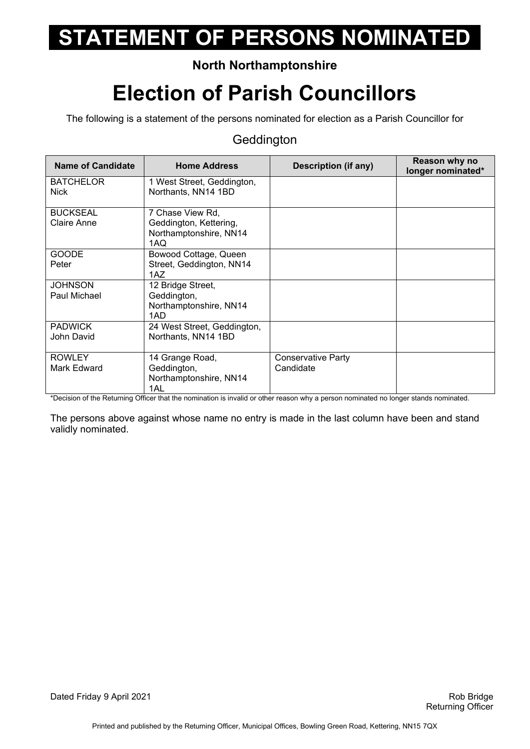### **North Northamptonshire**

## **Election of Parish Councillors**

The following is a statement of the persons nominated for election as a Parish Councillor for

#### **Geddington**

| <b>Name of Candidate</b>        | <b>Home Address</b>                                                         | <b>Description (if any)</b>            | Reason why no<br>longer nominated* |
|---------------------------------|-----------------------------------------------------------------------------|----------------------------------------|------------------------------------|
| <b>BATCHELOR</b><br><b>Nick</b> | 1 West Street, Geddington,<br>Northants, NN14 1BD                           |                                        |                                    |
| <b>BUCKSEAL</b><br>Claire Anne  | 7 Chase View Rd,<br>Geddington, Kettering,<br>Northamptonshire, NN14<br>1AQ |                                        |                                    |
| <b>GOODE</b><br>Peter           | Bowood Cottage, Queen<br>Street, Geddington, NN14<br>1AZ.                   |                                        |                                    |
| <b>JOHNSON</b><br>Paul Michael  | 12 Bridge Street,<br>Geddington,<br>Northamptonshire, NN14<br>1AD           |                                        |                                    |
| <b>PADWICK</b><br>John David    | 24 West Street, Geddington,<br>Northants, NN14 1BD                          |                                        |                                    |
| <b>ROWLEY</b><br>Mark Edward    | 14 Grange Road,<br>Geddington,<br>Northamptonshire, NN14<br>1AL             | <b>Conservative Party</b><br>Candidate |                                    |

\*Decision of the Returning Officer that the nomination is invalid or other reason why a person nominated no longer stands nominated.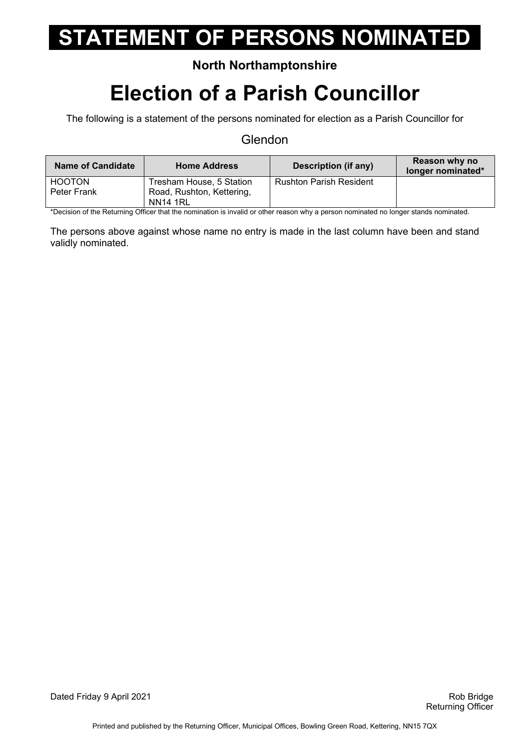#### **North Northamptonshire**

### **Election of a Parish Councillor**

The following is a statement of the persons nominated for election as a Parish Councillor for

#### **Glendon**

| <b>Name of Candidate</b> | Home Address              | Description (if any)           | Reason why no<br>longer nominated* |
|--------------------------|---------------------------|--------------------------------|------------------------------------|
| <b>HOOTON</b>            | Tresham House, 5 Station  | <b>Rushton Parish Resident</b> |                                    |
| Peter Frank              | Road, Rushton, Kettering, |                                |                                    |
|                          | <b>NN14 1RL</b>           |                                |                                    |

\*Decision of the Returning Officer that the nomination is invalid or other reason why a person nominated no longer stands nominated.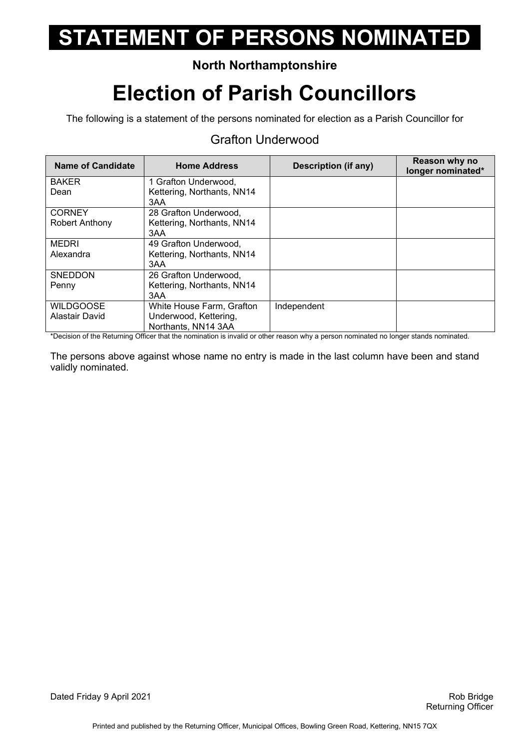### **North Northamptonshire**

## **Election of Parish Councillors**

The following is a statement of the persons nominated for election as a Parish Councillor for

#### Grafton Underwood

| <b>Name of Candidate</b> | <b>Home Address</b>        | <b>Description (if any)</b> | Reason why no<br>longer nominated* |
|--------------------------|----------------------------|-----------------------------|------------------------------------|
| <b>BAKER</b>             | 1 Grafton Underwood,       |                             |                                    |
| Dean                     | Kettering, Northants, NN14 |                             |                                    |
|                          | 3AA                        |                             |                                    |
| <b>CORNEY</b>            | 28 Grafton Underwood,      |                             |                                    |
| Robert Anthony           | Kettering, Northants, NN14 |                             |                                    |
|                          | 3AA                        |                             |                                    |
| <b>MEDRI</b>             | 49 Grafton Underwood,      |                             |                                    |
| Alexandra                | Kettering, Northants, NN14 |                             |                                    |
|                          | 3AA                        |                             |                                    |
| <b>SNEDDON</b>           | 26 Grafton Underwood,      |                             |                                    |
| Penny                    | Kettering, Northants, NN14 |                             |                                    |
|                          | 3AA                        |                             |                                    |
| <b>WILDGOOSE</b>         | White House Farm, Grafton  | Independent                 |                                    |
| Alastair David           | Underwood, Kettering,      |                             |                                    |
|                          | Northants, NN14 3AA        |                             |                                    |

\*Decision of the Returning Officer that the nomination is invalid or other reason why a person nominated no longer stands nominated.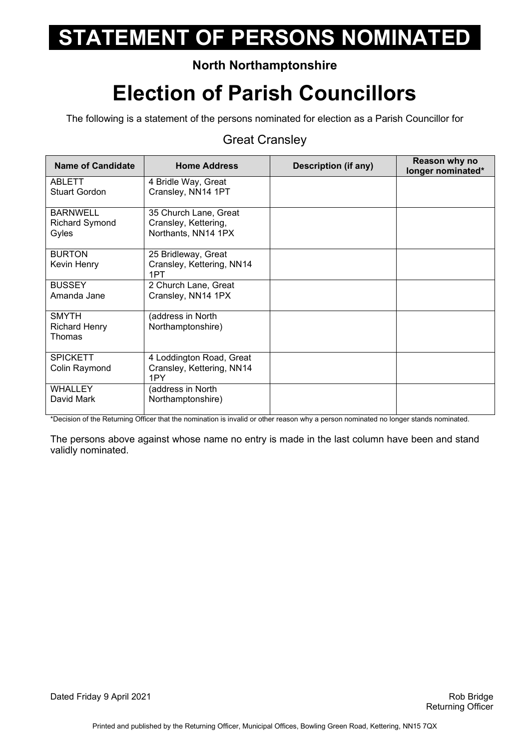### **North Northamptonshire**

## **Election of Parish Councillors**

The following is a statement of the persons nominated for election as a Parish Councillor for

#### Great Cransley

| <b>Name of Candidate</b>                          | <b>Home Address</b>                                                  | Description (if any) | Reason why no<br>longer nominated* |
|---------------------------------------------------|----------------------------------------------------------------------|----------------------|------------------------------------|
| <b>ABLETT</b><br><b>Stuart Gordon</b>             | 4 Bridle Way, Great<br>Cransley, NN14 1PT                            |                      |                                    |
| <b>BARNWELL</b><br><b>Richard Symond</b><br>Gyles | 35 Church Lane, Great<br>Cransley, Kettering,<br>Northants, NN14 1PX |                      |                                    |
| <b>BURTON</b><br>Kevin Henry                      | 25 Bridleway, Great<br>Cransley, Kettering, NN14<br>1PT              |                      |                                    |
| <b>BUSSEY</b><br>Amanda Jane                      | 2 Church Lane, Great<br>Cransley, NN14 1PX                           |                      |                                    |
| <b>SMYTH</b><br><b>Richard Henry</b><br>Thomas    | (address in North<br>Northamptonshire)                               |                      |                                    |
| <b>SPICKETT</b><br>Colin Raymond                  | 4 Loddington Road, Great<br>Cransley, Kettering, NN14<br>1PY         |                      |                                    |
| <b>WHALLEY</b><br>David Mark                      | (address in North<br>Northamptonshire)                               |                      |                                    |

\*Decision of the Returning Officer that the nomination is invalid or other reason why a person nominated no longer stands nominated.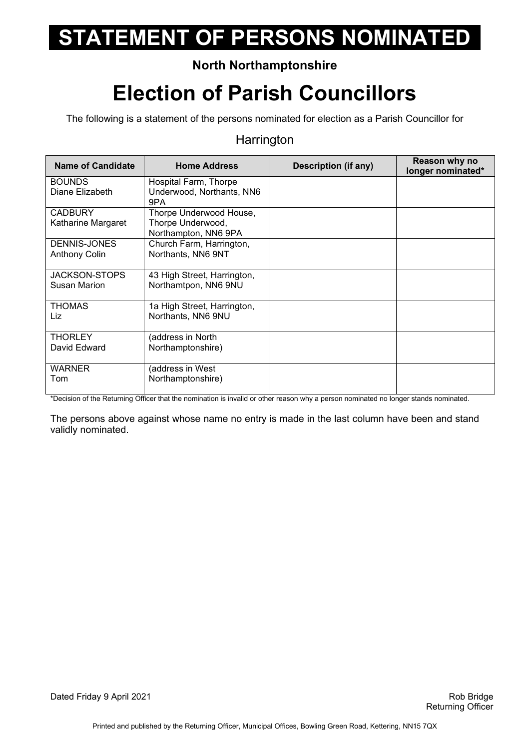### **North Northamptonshire**

## **Election of Parish Councillors**

The following is a statement of the persons nominated for election as a Parish Councillor for

#### **Harrington**

| <b>Name of Candidate</b>                    | <b>Home Address</b>                                                  | <b>Description (if any)</b> | Reason why no<br>longer nominated* |
|---------------------------------------------|----------------------------------------------------------------------|-----------------------------|------------------------------------|
| <b>BOUNDS</b><br>Diane Elizabeth            | Hospital Farm, Thorpe<br>Underwood, Northants, NN6<br>9PA            |                             |                                    |
| <b>CADBURY</b><br>Katharine Margaret        | Thorpe Underwood House,<br>Thorpe Underwood,<br>Northampton, NN6 9PA |                             |                                    |
| DENNIS-JONES<br><b>Anthony Colin</b>        | Church Farm, Harrington,<br>Northants, NN6 9NT                       |                             |                                    |
| <b>JACKSON-STOPS</b><br><b>Susan Marion</b> | 43 High Street, Harrington,<br>Northamtpon, NN6 9NU                  |                             |                                    |
| <b>THOMAS</b><br>Liz                        | 1a High Street, Harrington,<br>Northants, NN6 9NU                    |                             |                                    |
| <b>THORLEY</b><br>David Edward              | (address in North<br>Northamptonshire)                               |                             |                                    |
| <b>WARNER</b><br>Tom                        | (address in West<br>Northamptonshire)                                |                             |                                    |

\*Decision of the Returning Officer that the nomination is invalid or other reason why a person nominated no longer stands nominated.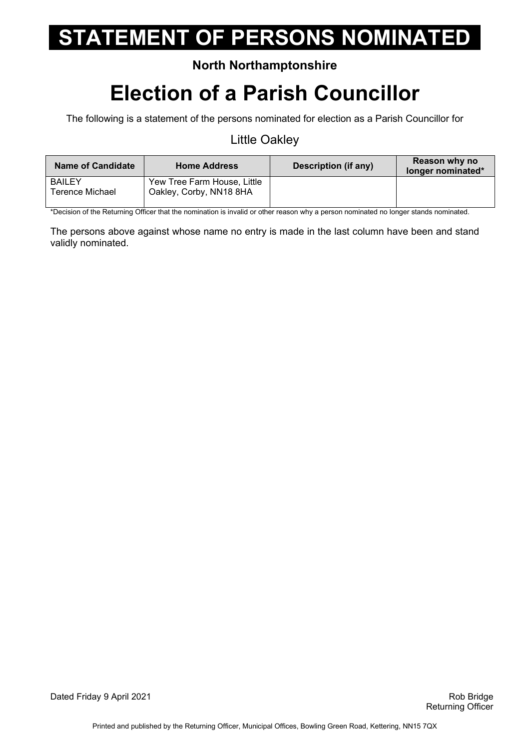#### **North Northamptonshire**

## **Election of a Parish Councillor**

The following is a statement of the persons nominated for election as a Parish Councillor for

#### Little Oakley

| <b>Name of Candidate</b>         | Home Address                                           | Description (if any) | Reason why no<br>longer nominated* |
|----------------------------------|--------------------------------------------------------|----------------------|------------------------------------|
| <b>BAILEY</b><br>Terence Michael | Yew Tree Farm House, Little<br>Oakley, Corby, NN18 8HA |                      |                                    |

\*Decision of the Returning Officer that the nomination is invalid or other reason why a person nominated no longer stands nominated.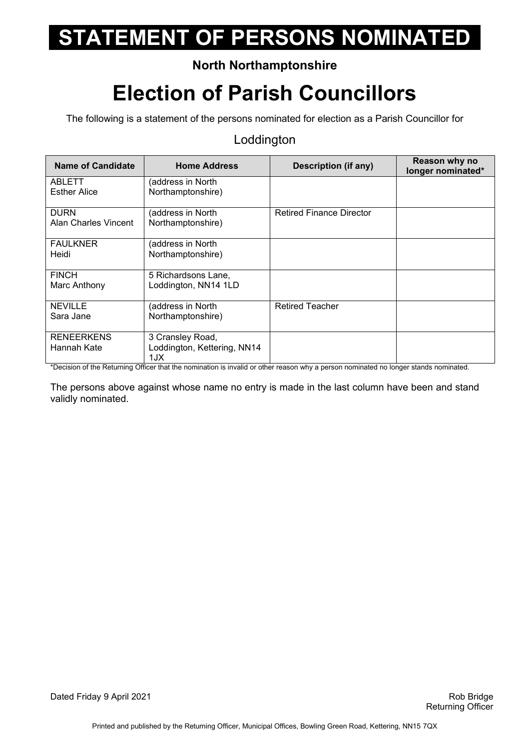### **North Northamptonshire**

## **Election of Parish Councillors**

The following is a statement of the persons nominated for election as a Parish Councillor for

#### Loddington

| Name of Candidate    | <b>Home Address</b>                | <b>Description (if any)</b>     | Reason why no<br>longer nominated* |
|----------------------|------------------------------------|---------------------------------|------------------------------------|
| ABLETT               | (address in North                  |                                 |                                    |
| <b>Esther Alice</b>  | Northamptonshire)                  |                                 |                                    |
| <b>DURN</b>          | (address in North                  | <b>Retired Finance Director</b> |                                    |
| Alan Charles Vincent | Northamptonshire)                  |                                 |                                    |
| <b>FAULKNER</b>      | (address in North                  |                                 |                                    |
| Heidi                | Northamptonshire)                  |                                 |                                    |
| <b>FINCH</b>         | 5 Richardsons Lane,                |                                 |                                    |
| Marc Anthony         | Loddington, NN14 1LD               |                                 |                                    |
| <b>NEVILLE</b>       | (address in North                  | <b>Retired Teacher</b>          |                                    |
| Sara Jane            | Northamptonshire)                  |                                 |                                    |
| <b>RENEERKENS</b>    | 3 Cransley Road,                   |                                 |                                    |
| Hannah Kate          | Loddington, Kettering, NN14<br>1JX |                                 |                                    |

\*Decision of the Returning Officer that the nomination is invalid or other reason why a person nominated no longer stands nominated.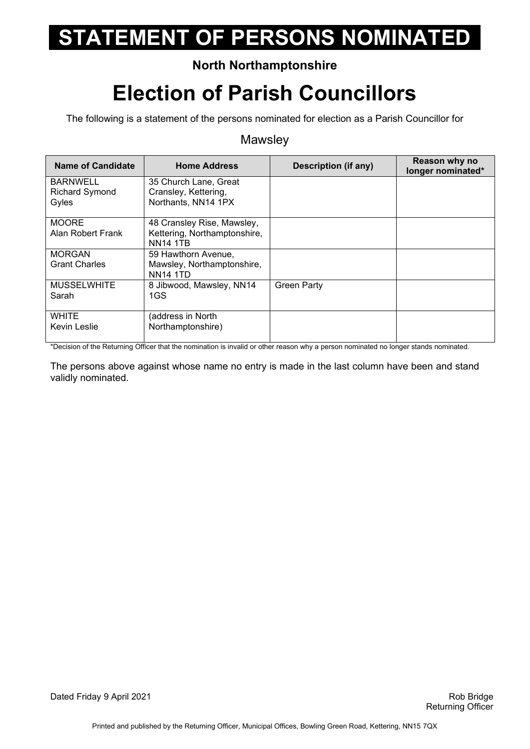### **North Northamptonshire**

## **Election of Parish Councillors**

The following is a statement of the persons nominated for election as a Parish Councillor for

#### **Mawsley**

| <b>Name of Candidate</b>                          | <b>Home Address</b>                                                           | <b>Description (if any)</b> | Reason why no<br>longer nominated* |
|---------------------------------------------------|-------------------------------------------------------------------------------|-----------------------------|------------------------------------|
| <b>BARNWELL</b><br><b>Richard Symond</b><br>Gyles | 35 Church Lane, Great<br>Cransley, Kettering,<br>Northants, NN14 1PX          |                             |                                    |
| <b>MOORE</b><br>Alan Robert Frank                 | 48 Cransley Rise, Mawsley,<br>Kettering, Northamptonshire,<br><b>NN14 1TB</b> |                             |                                    |
| <b>MORGAN</b><br><b>Grant Charles</b>             | 59 Hawthorn Avenue,<br>Mawsley, Northamptonshire,<br><b>NN14 1TD</b>          |                             |                                    |
| <b>MUSSELWHITE</b><br>Sarah                       | 8 Jibwood, Mawsley, NN14<br>1GS                                               | <b>Green Party</b>          |                                    |
| <b>WHITE</b><br>Kevin Leslie                      | (address in North<br>Northamptonshire)                                        |                             |                                    |

\*Decision of the Returning Officer that the nomination is invalid or other reason why a person nominated no longer stands nominated.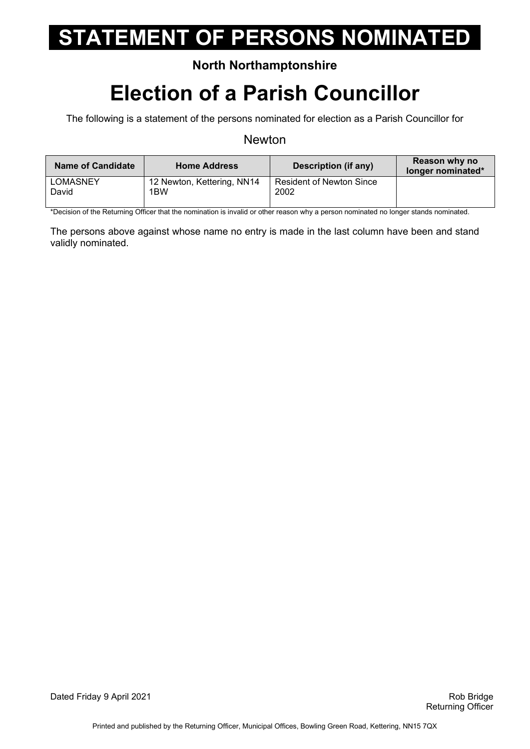#### **North Northamptonshire**

## **Election of a Parish Councillor**

The following is a statement of the persons nominated for election as a Parish Councillor for

#### Newton

| <b>Name of Candidate</b> | <b>Home Address</b>        | <b>Description (if any)</b>     | Reason why no<br>longer nominated* |
|--------------------------|----------------------------|---------------------------------|------------------------------------|
| <b>LOMASNEY</b>          | 12 Newton, Kettering, NN14 | <b>Resident of Newton Since</b> |                                    |
| David                    | 1BW                        | 2002                            |                                    |
|                          |                            |                                 |                                    |

\*Decision of the Returning Officer that the nomination is invalid or other reason why a person nominated no longer stands nominated.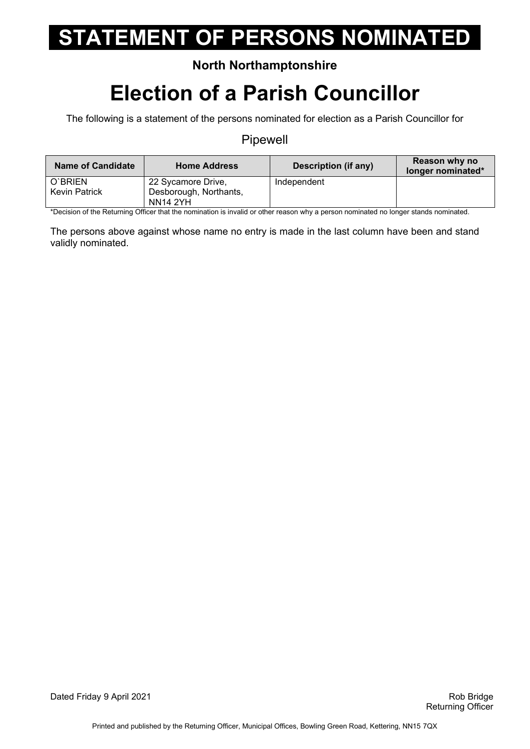#### **North Northamptonshire**

### **Election of a Parish Councillor**

The following is a statement of the persons nominated for election as a Parish Councillor for

#### Pipewell

| <b>Name of Candidate</b> | <b>Home Address</b>    | Description (if any) | Reason why no<br>longer nominated* |
|--------------------------|------------------------|----------------------|------------------------------------|
| O'BRIEN                  | 22 Sycamore Drive,     | Independent          |                                    |
| <b>Kevin Patrick</b>     | Desborough, Northants, |                      |                                    |
|                          | <b>NN14 2YH</b>        |                      |                                    |

\*Decision of the Returning Officer that the nomination is invalid or other reason why a person nominated no longer stands nominated.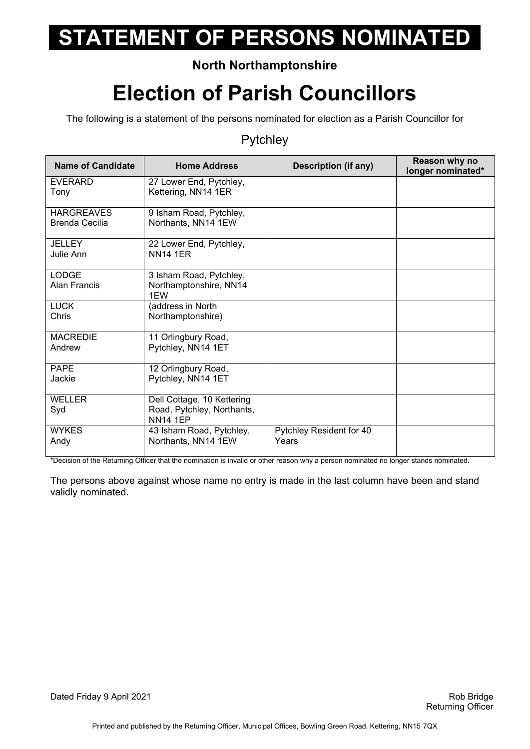### **North Northamptonshire**

## **Election of Parish Councillors**

The following is a statement of the persons nominated for election as a Parish Councillor for

#### Pytchley

| <b>Name of Candidate</b>            | <b>Home Address</b>                                                         | <b>Description (if any)</b>       | Reason why no<br>longer nominated* |
|-------------------------------------|-----------------------------------------------------------------------------|-----------------------------------|------------------------------------|
| <b>EVERARD</b><br>Tony              | 27 Lower End, Pytchley,<br>Kettering, NN14 1ER                              |                                   |                                    |
| <b>HARGREAVES</b><br>Brenda Cecilia | 9 Isham Road, Pytchley,<br>Northants, NN14 1EW                              |                                   |                                    |
| JELLEY<br>Julie Ann                 | 22 Lower End, Pytchley,<br><b>NN14 1ER</b>                                  |                                   |                                    |
| <b>LODGE</b><br><b>Alan Francis</b> | 3 Isham Road, Pytchley,<br>Northamptonshire, NN14<br>1EW                    |                                   |                                    |
| <b>LUCK</b><br>Chris                | (address in North<br>Northamptonshire)                                      |                                   |                                    |
| <b>MACREDIE</b><br>Andrew           | 11 Orlingbury Road,<br>Pytchley, NN14 1ET                                   |                                   |                                    |
| <b>PAPE</b><br>Jackie               | 12 Orlingbury Road,<br>Pytchley, NN14 1ET                                   |                                   |                                    |
| <b>WELLER</b><br>Syd                | Dell Cottage, 10 Kettering<br>Road, Pytchley, Northants,<br><b>NN14 1EP</b> |                                   |                                    |
| <b>WYKES</b><br>Andy                | 43 Isham Road, Pytchley,<br>Northants, NN14 1EW                             | Pytchley Resident for 40<br>Years |                                    |

\*Decision of the Returning Officer that the nomination is invalid or other reason why a person nominated no longer stands nominated.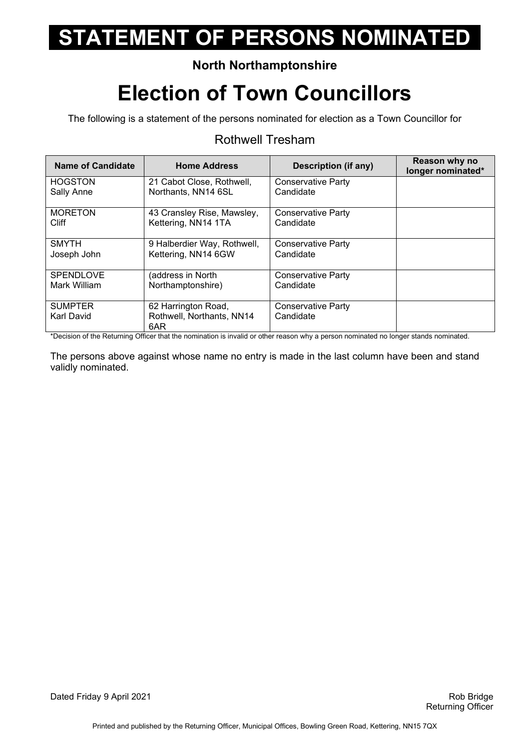### **North Northamptonshire**

## **Election of Town Councillors**

The following is a statement of the persons nominated for election as a Town Councillor for

#### Rothwell Tresham

| <b>Name of Candidate</b> | <b>Home Address</b>              | Description (if any)      | Reason why no<br>longer nominated* |
|--------------------------|----------------------------------|---------------------------|------------------------------------|
| <b>HOGSTON</b>           | 21 Cabot Close, Rothwell,        | Conservative Party        |                                    |
| Sally Anne               | Northants, NN14 6SL              | Candidate                 |                                    |
| <b>MORETON</b>           | 43 Cransley Rise, Mawsley,       | Conservative Party        |                                    |
| <b>Cliff</b>             | Kettering, NN14 1TA              | Candidate                 |                                    |
| <b>SMYTH</b>             | 9 Halberdier Way, Rothwell,      | Conservative Party        |                                    |
| Joseph John              | Kettering, NN14 6GW              | Candidate                 |                                    |
| <b>SPENDLOVE</b>         | (address in North                | Conservative Party        |                                    |
| Mark William             | Northamptonshire)                | Candidate                 |                                    |
| <b>SUMPTER</b>           | 62 Harrington Road,              | <b>Conservative Party</b> |                                    |
| Karl David               | Rothwell, Northants, NN14<br>6AR | Candidate                 |                                    |

\*Decision of the Returning Officer that the nomination is invalid or other reason why a person nominated no longer stands nominated.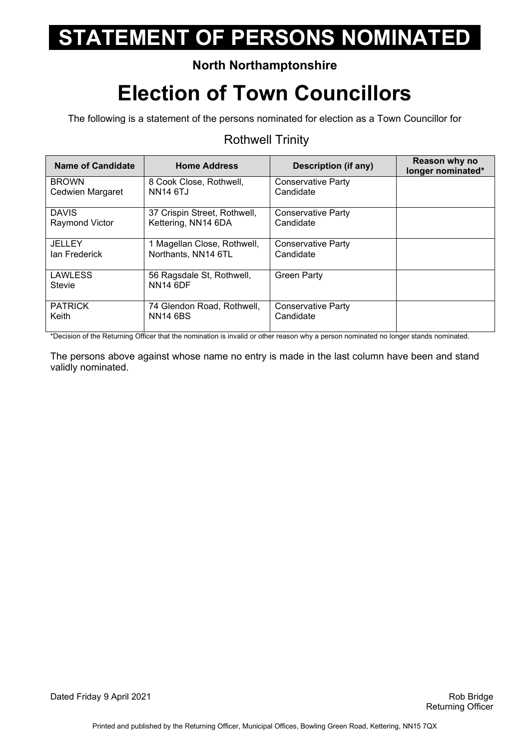### **North Northamptonshire**

## **Election of Town Councillors**

The following is a statement of the persons nominated for election as a Town Councillor for

#### Rothwell Trinity

| Name of Candidate        | <b>Home Address</b>                          | Description (if any)      | Reason why no<br>longer nominated* |
|--------------------------|----------------------------------------------|---------------------------|------------------------------------|
| <b>BROWN</b>             | 8 Cook Close, Rothwell,                      | Conservative Party        |                                    |
| Cedwien Margaret         | <b>NN14 6TJ</b>                              | Candidate                 |                                    |
| <b>DAVIS</b>             | 37 Crispin Street, Rothwell,                 | Conservative Party        |                                    |
| <b>Raymond Victor</b>    | Kettering, NN14 6DA                          | Candidate                 |                                    |
| <b>JELLEY</b>            | 1 Magellan Close, Rothwell,                  | <b>Conservative Party</b> |                                    |
| lan Frederick            | Northants, NN14 6TL                          | Candidate                 |                                    |
| <b>LAWLESS</b><br>Stevie | 56 Ragsdale St, Rothwell,<br><b>NN14 6DF</b> | <b>Green Party</b>        |                                    |
| <b>PATRICK</b>           | 74 Glendon Road, Rothwell,                   | Conservative Party        |                                    |
| Keith                    | <b>NN14 6BS</b>                              | Candidate                 |                                    |

\*Decision of the Returning Officer that the nomination is invalid or other reason why a person nominated no longer stands nominated.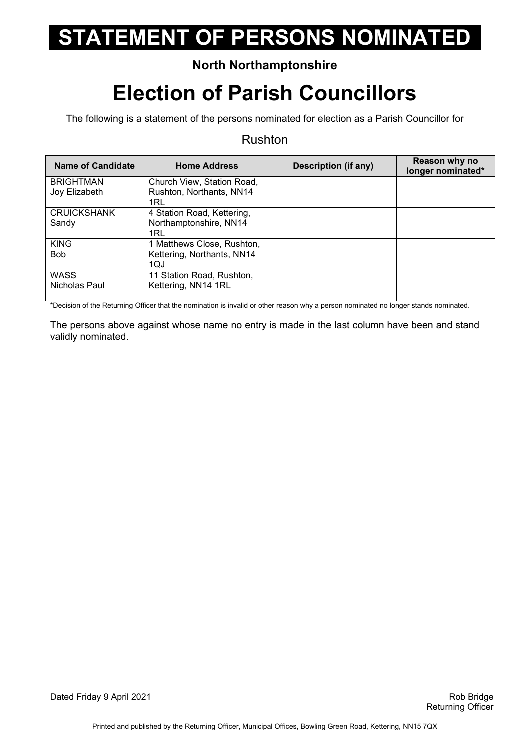### **North Northamptonshire**

## **Election of Parish Councillors**

The following is a statement of the persons nominated for election as a Parish Councillor for

#### Rushton

| <b>Name of Candidate</b>          | <b>Home Address</b>                                             | Description (if any) | Reason why no<br>longer nominated* |
|-----------------------------------|-----------------------------------------------------------------|----------------------|------------------------------------|
| <b>BRIGHTMAN</b><br>Joy Elizabeth | Church View, Station Road,<br>Rushton, Northants, NN14          |                      |                                    |
|                                   | 1RL                                                             |                      |                                    |
| <b>CRUICKSHANK</b><br>Sandy       | 4 Station Road, Kettering,<br>Northamptonshire, NN14<br>1RL     |                      |                                    |
| <b>KING</b><br><b>Bob</b>         | 1 Matthews Close, Rushton,<br>Kettering, Northants, NN14<br>1QJ |                      |                                    |
| <b>WASS</b><br>Nicholas Paul      | 11 Station Road, Rushton,<br>Kettering, NN14 1RL                |                      |                                    |

\*Decision of the Returning Officer that the nomination is invalid or other reason why a person nominated no longer stands nominated.

The persons above against whose name no entry is made in the last column have been and stand validly nominated.

Dated Friday 9 April 2021 **Rob Bridge Rob Bridge** Rob Bridge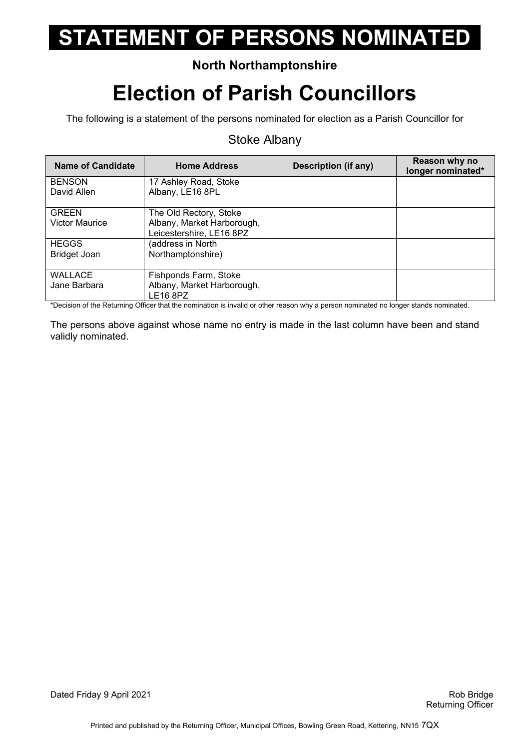### **North Northamptonshire**

## **Election of Parish Councillors**

The following is a statement of the persons nominated for election as a Parish Councillor for

#### Stoke Albany

| <b>Name of Candidate</b>              | <b>Home Address</b>                                                              | Description (if any) | Reason why no<br>longer nominated* |
|---------------------------------------|----------------------------------------------------------------------------------|----------------------|------------------------------------|
| <b>BENSON</b><br>David Allen          | 17 Ashley Road, Stoke<br>Albany, LE16 8PL                                        |                      |                                    |
| <b>GREEN</b><br><b>Victor Maurice</b> | The Old Rectory, Stoke<br>Albany, Market Harborough,<br>Leicestershire, LE16 8PZ |                      |                                    |
| <b>HEGGS</b><br>Bridget Joan          | (address in North<br>Northamptonshire)                                           |                      |                                    |
| <b>WALLACE</b><br>Jane Barbara        | Fishponds Farm, Stoke<br>Albany, Market Harborough,<br>LE16 8PZ                  |                      |                                    |

\*Decision of the Returning Officer that the nomination is invalid or other reason why a person nominated no longer stands nominated.

The persons above against whose name no entry is made in the last column have been and stand validly nominated.

Dated Friday 9 April 2021 **Rob Bridge Rob Bridge Rob Bridge Rob Bridge**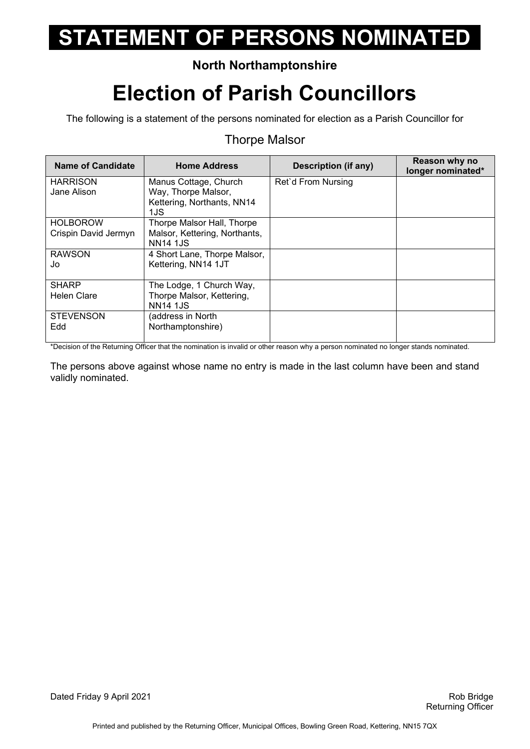### **North Northamptonshire**

## **Election of Parish Councillors**

The following is a statement of the persons nominated for election as a Parish Councillor for

#### Thorpe Malsor

| <b>Name of Candidate</b> | <b>Home Address</b>           | <b>Description (if any)</b> | Reason why no<br>longer nominated* |
|--------------------------|-------------------------------|-----------------------------|------------------------------------|
| <b>HARRISON</b>          | Manus Cottage, Church         | Ret'd From Nursing          |                                    |
| Jane Alison              | Way, Thorpe Malsor,           |                             |                                    |
|                          | Kettering, Northants, NN14    |                             |                                    |
|                          | 1JS                           |                             |                                    |
| <b>HOLBOROW</b>          | Thorpe Malsor Hall, Thorpe    |                             |                                    |
| Crispin David Jermyn     | Malsor, Kettering, Northants, |                             |                                    |
|                          | <b>NN14 1JS</b>               |                             |                                    |
| <b>RAWSON</b>            | 4 Short Lane, Thorpe Malsor,  |                             |                                    |
| Jo                       | Kettering, NN14 1JT           |                             |                                    |
|                          |                               |                             |                                    |
| <b>SHARP</b>             | The Lodge, 1 Church Way,      |                             |                                    |
| <b>Helen Clare</b>       | Thorpe Malsor, Kettering,     |                             |                                    |
|                          | <b>NN14 1JS</b>               |                             |                                    |
| <b>STEVENSON</b>         | (address in North             |                             |                                    |
| Edd                      | Northamptonshire)             |                             |                                    |
|                          |                               |                             |                                    |

\*Decision of the Returning Officer that the nomination is invalid or other reason why a person nominated no longer stands nominated.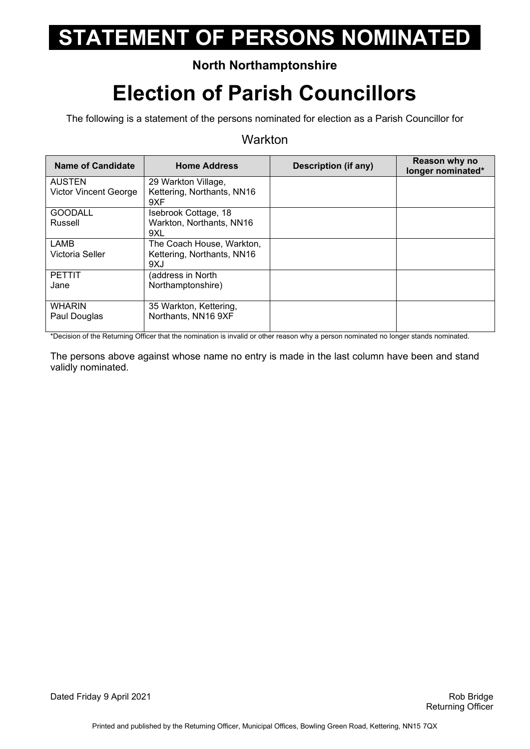### **North Northamptonshire**

## **Election of Parish Councillors**

The following is a statement of the persons nominated for election as a Parish Councillor for

#### **Warkton**

| <b>Name of Candidate</b>      | <b>Home Address</b>                           | <b>Description (if any)</b> | Reason why no<br>longer nominated* |
|-------------------------------|-----------------------------------------------|-----------------------------|------------------------------------|
| <b>AUSTEN</b>                 | 29 Warkton Village,                           |                             |                                    |
| <b>Victor Vincent George</b>  | Kettering, Northants, NN16<br>9XF             |                             |                                    |
| <b>GOODALL</b>                | Isebrook Cottage, 18                          |                             |                                    |
| Russell                       | Warkton, Northants, NN16                      |                             |                                    |
|                               | 9XL                                           |                             |                                    |
| LAMB                          | The Coach House, Warkton,                     |                             |                                    |
| Victoria Seller               | Kettering, Northants, NN16<br>9XJ             |                             |                                    |
| <b>PETTIT</b>                 | (address in North                             |                             |                                    |
| Jane                          | Northamptonshire)                             |                             |                                    |
| <b>WHARIN</b><br>Paul Douglas | 35 Warkton, Kettering,<br>Northants, NN16 9XF |                             |                                    |
|                               |                                               |                             |                                    |

\*Decision of the Returning Officer that the nomination is invalid or other reason why a person nominated no longer stands nominated.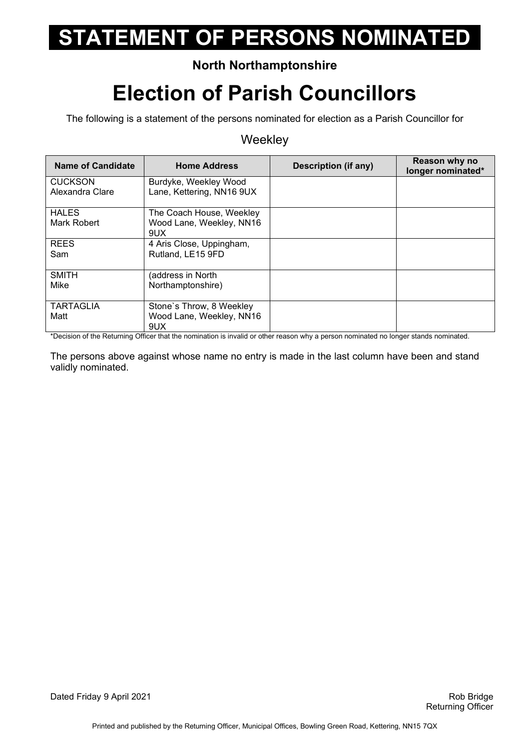### **North Northamptonshire**

## **Election of Parish Councillors**

The following is a statement of the persons nominated for election as a Parish Councillor for

#### **Weekley**

| <b>Name of Candidate</b>          | <b>Home Address</b>                                         | Description (if any) | Reason why no<br>longer nominated* |
|-----------------------------------|-------------------------------------------------------------|----------------------|------------------------------------|
| <b>CUCKSON</b><br>Alexandra Clare | Burdyke, Weekley Wood<br>Lane, Kettering, NN16 9UX          |                      |                                    |
| <b>HALES</b><br>Mark Robert       | The Coach House, Weekley<br>Wood Lane, Weekley, NN16<br>9UX |                      |                                    |
| <b>REES</b><br>Sam                | 4 Aris Close, Uppingham,<br>Rutland, LE15 9FD               |                      |                                    |
| <b>SMITH</b><br>Mike              | (address in North<br>Northamptonshire)                      |                      |                                    |
| <b>TARTAGLIA</b><br>Matt          | Stone's Throw, 8 Weekley<br>Wood Lane, Weekley, NN16<br>9UX |                      |                                    |

\*Decision of the Returning Officer that the nomination is invalid or other reason why a person nominated no longer stands nominated.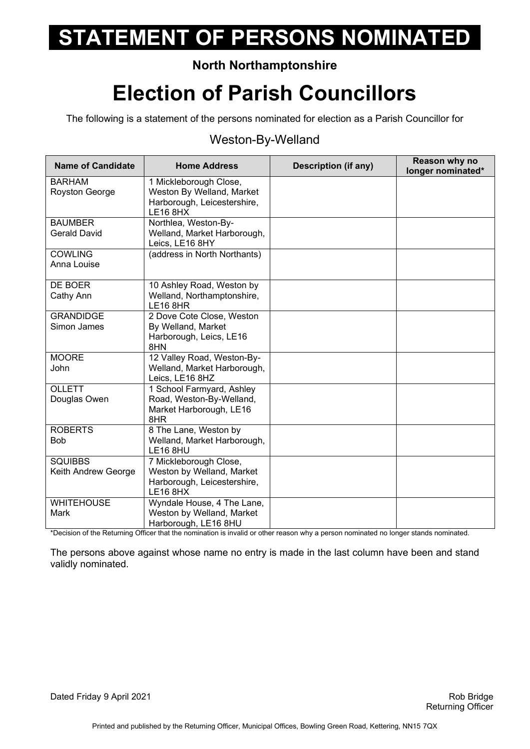### **North Northamptonshire**

## **Election of Parish Councillors**

The following is a statement of the persons nominated for election as a Parish Councillor for

#### Weston-By-Welland

| <b>Name of Candidate</b>              | <b>Home Address</b>                                                                                   | <b>Description (if any)</b> | Reason why no<br>longer nominated* |
|---------------------------------------|-------------------------------------------------------------------------------------------------------|-----------------------------|------------------------------------|
| <b>BARHAM</b><br>Royston George       | 1 Mickleborough Close,<br>Weston By Welland, Market<br>Harborough, Leicestershire,<br><b>LE16 8HX</b> |                             |                                    |
| <b>BAUMBER</b><br><b>Gerald David</b> | Northlea, Weston-By-<br>Welland, Market Harborough,<br>Leics, LE16 8HY                                |                             |                                    |
| <b>COWLING</b><br>Anna Louise         | (address in North Northants)                                                                          |                             |                                    |
| DE BOER<br>Cathy Ann                  | 10 Ashley Road, Weston by<br>Welland, Northamptonshire,<br><b>LE16 8HR</b>                            |                             |                                    |
| <b>GRANDIDGE</b><br>Simon James       | 2 Dove Cote Close, Weston<br>By Welland, Market<br>Harborough, Leics, LE16<br>8HN                     |                             |                                    |
| <b>MOORE</b><br>John                  | 12 Valley Road, Weston-By-<br>Welland, Market Harborough,<br>Leics, LE16 8HZ                          |                             |                                    |
| <b>OLLETT</b><br>Douglas Owen         | 1 School Farmyard, Ashley<br>Road, Weston-By-Welland,<br>Market Harborough, LE16<br>8HR               |                             |                                    |
| <b>ROBERTS</b><br><b>Bob</b>          | 8 The Lane, Weston by<br>Welland, Market Harborough,<br><b>LE16 8HU</b>                               |                             |                                    |
| <b>SQUIBBS</b><br>Keith Andrew George | 7 Mickleborough Close,<br>Weston by Welland, Market<br>Harborough, Leicestershire,<br><b>LE16 8HX</b> |                             |                                    |
| <b>WHITEHOUSE</b><br><b>Mark</b>      | Wyndale House, 4 The Lane,<br>Weston by Welland, Market<br>Harborough, LE16 8HU                       |                             |                                    |

\*Decision of the Returning Officer that the nomination is invalid or other reason why a person nominated no longer stands nominated.